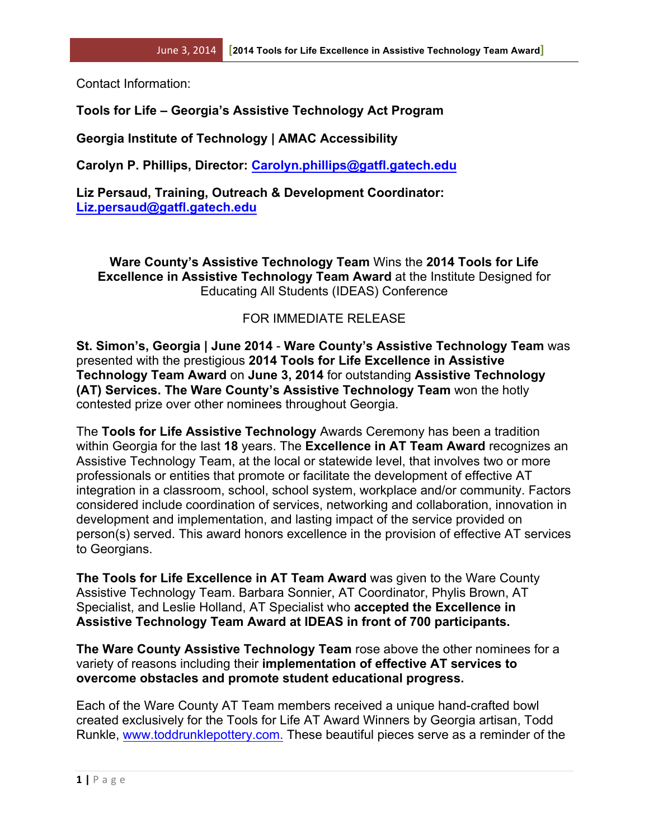Contact Information:

## **Tools for Life – Georgia's Assistive Technology Act Program**

**Georgia Institute of Technology | AMAC Accessibility**

**Carolyn P. Phillips, Director: Carolyn.phillips@gatfl.gatech.edu**

**Liz Persaud, Training, Outreach & Development Coordinator: Liz.persaud@gatfl.gatech.edu**

**Ware County's Assistive Technology Team** Wins the **2014 Tools for Life Excellence in Assistive Technology Team Award** at the Institute Designed for Educating All Students (IDEAS) Conference

## FOR IMMEDIATE RELEASE

**St. Simon's, Georgia | June 2014** - **Ware County's Assistive Technology Team** was presented with the prestigious **2014 Tools for Life Excellence in Assistive Technology Team Award** on **June 3, 2014** for outstanding **Assistive Technology (AT) Services. The Ware County's Assistive Technology Team** won the hotly contested prize over other nominees throughout Georgia.

The **Tools for Life Assistive Technology** Awards Ceremony has been a tradition within Georgia for the last **18** years. The **Excellence in AT Team Award** recognizes an Assistive Technology Team, at the local or statewide level, that involves two or more professionals or entities that promote or facilitate the development of effective AT integration in a classroom, school, school system, workplace and/or community. Factors considered include coordination of services, networking and collaboration, innovation in development and implementation, and lasting impact of the service provided on person(s) served. This award honors excellence in the provision of effective AT services to Georgians.

**The Tools for Life Excellence in AT Team Award** was given to the Ware County Assistive Technology Team. Barbara Sonnier, AT Coordinator, Phylis Brown, AT Specialist, and Leslie Holland, AT Specialist who **accepted the Excellence in Assistive Technology Team Award at IDEAS in front of 700 participants.** 

**The Ware County Assistive Technology Team** rose above the other nominees for a variety of reasons including their **implementation of effective AT services to overcome obstacles and promote student educational progress.**

Each of the Ware County AT Team members received a unique hand-crafted bowl created exclusively for the Tools for Life AT Award Winners by Georgia artisan, Todd Runkle, www.toddrunklepottery.com. These beautiful pieces serve as a reminder of the